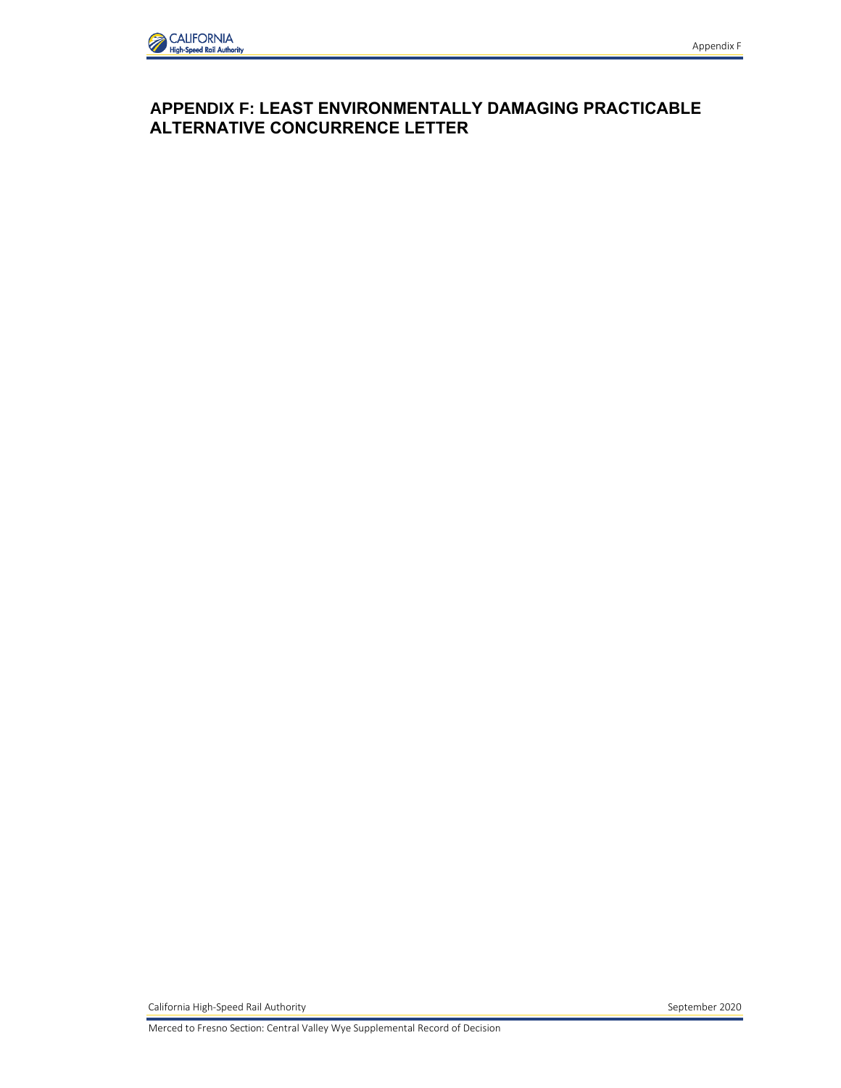

## **APPENDIX F: LEAST ENVIRONMENTALLY DAMAGING PRACTICABLE ALTERNATIVE CONCURRENCE LETTER**

California High-Speed Rail Authority September 2020